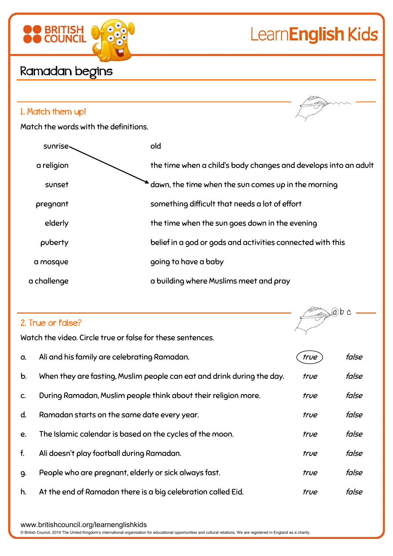# LearnEnglish Kids

ab c



## Ramadan begins

**BRITISH**<br>COUNCIL

#### 1. Match them up!

Match the words with the definitions.

| sunrise-    | old                                                             |
|-------------|-----------------------------------------------------------------|
| a religion  | the time when a child's body changes and develops into an adult |
| sunset      | dawn, the time when the sun comes up in the morning             |
| pregnant    | something difficult that needs a lot of effort                  |
| elderly     | the time when the sun goes down in the evening                  |
| puberty     | belief in a god or gods and activities connected with this      |
| a mosque    | going to have a baby                                            |
| a challenge | a building where Muslims meet and pray                          |

### 2. True or false?

Watch the video. Circle true or false for these sentences.

| a.            | Ali and his family are celebrating Ramadan.                            | true | false |
|---------------|------------------------------------------------------------------------|------|-------|
| $\mathbf b$ . | When they are fasting, Muslim people can eat and drink during the day. | true | false |
| C.            | During Ramadan, Muslim people think about their religion more.         | true | false |
| d.            | Ramadan starts on the same date every year.                            | true | false |
| e.            | The Islamic calendar is based on the cycles of the moon.               | true | false |
| f.            | Ali doesn't play football during Ramadan.                              | true | false |
| 9.            | People who are pregnant, elderly or sick always fast.                  | true | false |
| h.            | At the end of Ramadan there is a big celebration called Eid.           | true | false |

www.britishcouncil.org/learnenglishkids

© British Council, 2019 The United Kingdom's international organisation for educational opportunities and cultural relations. We are registered in England as a charity.